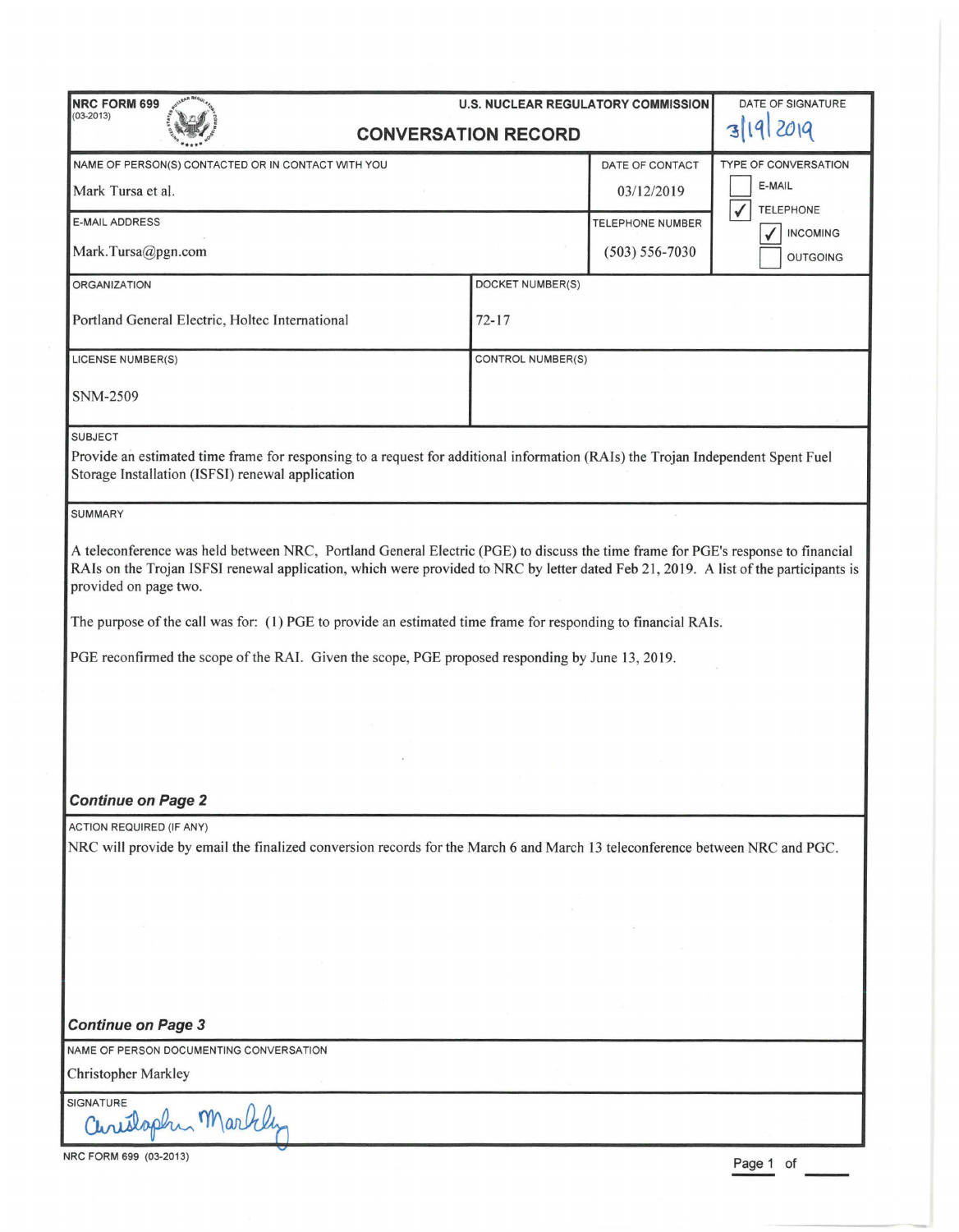| <b>NRC FORM 699</b><br><b>U.S. NUCLEAR REGULATORY COMMISSION</b>                                                                                                                                                                                                                                                                                                                                                                                                                                                                                    |                          |                    | DATE OF SIGNATURE                     |
|-----------------------------------------------------------------------------------------------------------------------------------------------------------------------------------------------------------------------------------------------------------------------------------------------------------------------------------------------------------------------------------------------------------------------------------------------------------------------------------------------------------------------------------------------------|--------------------------|--------------------|---------------------------------------|
| $(03 - 2013)$<br><b>CONVERSATION RECORD</b>                                                                                                                                                                                                                                                                                                                                                                                                                                                                                                         |                          |                    |                                       |
|                                                                                                                                                                                                                                                                                                                                                                                                                                                                                                                                                     |                          |                    |                                       |
| NAME OF PERSON(S) CONTACTED OR IN CONTACT WITH YOU                                                                                                                                                                                                                                                                                                                                                                                                                                                                                                  |                          | DATE OF CONTACT    | <b>TYPE OF CONVERSATION</b><br>E-MAIL |
| Mark Tursa et al.                                                                                                                                                                                                                                                                                                                                                                                                                                                                                                                                   |                          | 03/12/2019         | $\checkmark$<br><b>TELEPHONE</b>      |
| <b>E-MAIL ADDRESS</b>                                                                                                                                                                                                                                                                                                                                                                                                                                                                                                                               |                          | TELEPHONE NUMBER   | <b>INCOMING</b>                       |
| Mark.Tursa@pgn.com                                                                                                                                                                                                                                                                                                                                                                                                                                                                                                                                  |                          | $(503) 556 - 7030$ | <b>OUTGOING</b>                       |
| <b>ORGANIZATION</b>                                                                                                                                                                                                                                                                                                                                                                                                                                                                                                                                 | DOCKET NUMBER(S)         |                    |                                       |
| Portland General Electric, Holtec International                                                                                                                                                                                                                                                                                                                                                                                                                                                                                                     | $72 - 17$                |                    |                                       |
| <b>LICENSE NUMBER(S)</b>                                                                                                                                                                                                                                                                                                                                                                                                                                                                                                                            | <b>CONTROL NUMBER(S)</b> |                    |                                       |
| <b>SNM-2509</b>                                                                                                                                                                                                                                                                                                                                                                                                                                                                                                                                     |                          |                    |                                       |
| <b>SUBJECT</b>                                                                                                                                                                                                                                                                                                                                                                                                                                                                                                                                      |                          |                    |                                       |
| Provide an estimated time frame for responsing to a request for additional information (RAIs) the Trojan Independent Spent Fuel<br>Storage Installation (ISFSI) renewal application                                                                                                                                                                                                                                                                                                                                                                 |                          |                    |                                       |
| <b>SUMMARY</b>                                                                                                                                                                                                                                                                                                                                                                                                                                                                                                                                      |                          |                    |                                       |
| A teleconference was held between NRC, Portland General Electric (PGE) to discuss the time frame for PGE's response to financial<br>RAIs on the Trojan ISFSI renewal application, which were provided to NRC by letter dated Feb 21, 2019. A list of the participants is<br>provided on page two.<br>The purpose of the call was for: (1) PGE to provide an estimated time frame for responding to financial RAIs.<br>PGE reconfirmed the scope of the RAI. Given the scope, PGE proposed responding by June 13, 2019.<br><b>Continue on Page 2</b> |                          |                    |                                       |
| <b>ACTION REQUIRED (IF ANY)</b><br>NRC will provide by email the finalized conversion records for the March 6 and March 13 teleconference between NRC and PGC.                                                                                                                                                                                                                                                                                                                                                                                      |                          |                    |                                       |
|                                                                                                                                                                                                                                                                                                                                                                                                                                                                                                                                                     |                          |                    |                                       |
| <b>Continue on Page 3</b>                                                                                                                                                                                                                                                                                                                                                                                                                                                                                                                           |                          |                    |                                       |
| NAME OF PERSON DOCUMENTING CONVERSATION                                                                                                                                                                                                                                                                                                                                                                                                                                                                                                             |                          |                    |                                       |
| <b>Christopher Markley</b>                                                                                                                                                                                                                                                                                                                                                                                                                                                                                                                          |                          |                    |                                       |
| SIGNATURE<br>Curislaphin Markley                                                                                                                                                                                                                                                                                                                                                                                                                                                                                                                    |                          |                    |                                       |

NRC FORM 699 (03-2013)  $\overline{P}$  of  $\overline{P}$  of  $\overline{P}$